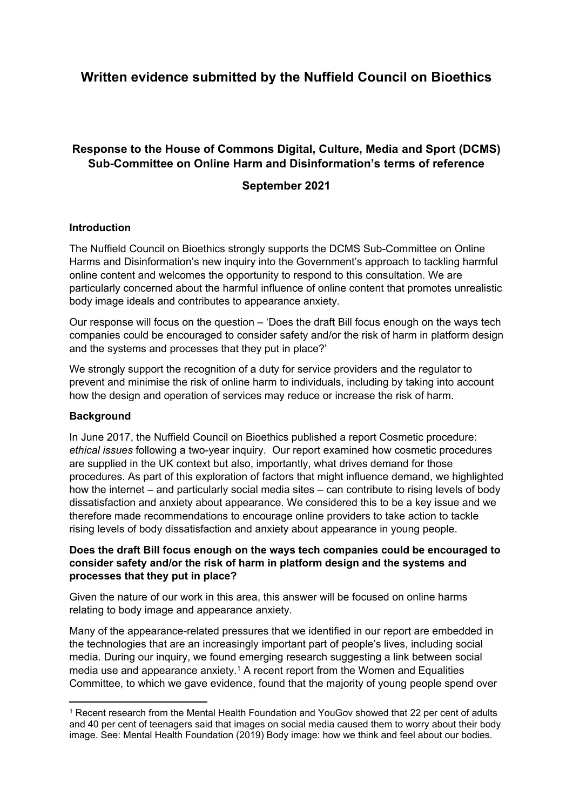# **Written evidence submitted by the Nuffield Council on Bioethics**

## **Response to the House of Commons Digital, Culture, Media and Sport (DCMS) Sub-Committee on Online Harm and Disinformation's terms of reference**

### **September 2021**

#### **Introduction**

The Nuffield Council on Bioethics strongly supports the DCMS Sub-Committee on Online Harms and Disinformation's new inquiry into the Government's approach to tackling harmful online content and welcomes the opportunity to respond to this consultation. We are particularly concerned about the harmful influence of online content that promotes unrealistic body image ideals and contributes to appearance anxiety.

Our response will focus on the question – 'Does the draft Bill focus enough on the ways tech companies could be encouraged to consider safety and/or the risk of harm in platform design and the systems and processes that they put in place?'

We strongly support the recognition of a duty for service providers and the regulator to prevent and minimise the risk of online harm to individuals, including by taking into account how the design and operation of services may reduce or increase the risk of harm.

#### **Background**

In June 2017, the Nuffield Council on Bioethics published a report Cosmetic procedure: *ethical issues* following a two-year inquiry. Our report examined how cosmetic procedures are supplied in the UK context but also, importantly, what drives demand for those procedures. As part of this exploration of factors that might influence demand, we highlighted how the internet – and particularly social media sites – can contribute to rising levels of body dissatisfaction and anxiety about appearance. We considered this to be a key issue and we therefore made recommendations to encourage online providers to take action to tackle rising levels of body dissatisfaction and anxiety about appearance in young people.

#### **Does the draft Bill focus enough on the ways tech companies could be encouraged to consider safety and/or the risk of harm in platform design and the systems and processes that they put in place?**

Given the nature of our work in this area, this answer will be focused on online harms relating to body image and appearance anxiety.

Many of the appearance-related pressures that we identified in our report are embedded in the technologies that are an increasingly important part of people's lives, including social media. During our inquiry, we found emerging research suggesting a link between social media use and appearance anxiety.<sup>1</sup> A recent report from the Women and Equalities Committee, to which we gave evidence, found that the majority of young people spend over

<sup>1</sup> Recent research from the Mental Health Foundation and YouGov showed that 22 per cent of adults and 40 per cent of teenagers said that images on social media caused them to worry about their body image. See: Mental Health Foundation (2019) Body image: how we think and feel about our bodies.